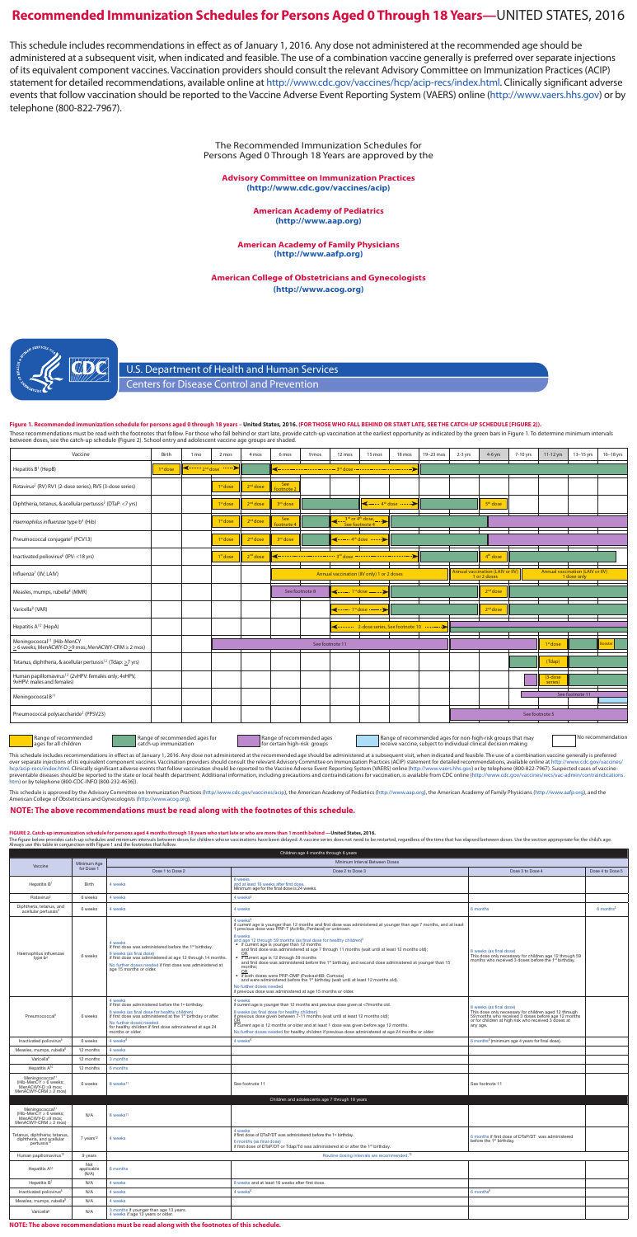U.S. Department of Health and Human Services Centers for Disease Control and Prevention

## **Recommended Immunization Schedules for Persons Aged 0 Through 18 Years—**UNITED STATES, 2016

The Recommended Immunization Schedules for Persons Aged 0 Through 18 Years are approved by the

**Advisory Committee on Immunization Practices (<http://www.cdc.gov/vaccines/acip>)**

> **American Academy of Pediatrics ([http://www.aap.org\)](http://www.aap.org)**

**American Academy of Family Physicians [\(http://www.aafp.org](http://www.aafp.org))**

**American College of Obstetricians and Gynecologists [\(http://www.acog.org\)](http://www.acog.org)**



This schedule includes recommendations in effect as of January 1, 2016. Any dose not administered at the recommended age should be administered at a subsequent visit, when indicated and feasible. The use of a combination vaccine generally is preferred over separate injections of its equivalent component vaccines. Vaccination providers should consult the relevant Advisory Committee on Immunization Practices (ACIP) statement for detailed recommendations, available online at [http://www.cdc.gov/vaccines/hcp/acip-recs/index.html.](http://www.cdc.gov/vaccines/hcp/acip-recs/index.html) Clinically significant adverse events that follow vaccination should be reported to the Vaccine Adverse Event Reporting System (VAERS) online [\(http://www.vaers.hhs.gov\)](http://www.vaers.hhs.gov) or by telephone (800-822-7967).

**Figure 1. Recommended immunization schedule for persons aged 0 through 18 years – United States, 2016. (FOR THOSE WHO FALL BEHIND OR START LATE, SEE THE CATCH-UP SCHEDULE [FIGURE 2]).** 

These recommendations must be read with the footnotes that follow. For those who fall behind or start late, provide catch-up vaccination at the earliest opportunity as indicated by the green bars in Figure 1. To determine

This schedule includes recommendations in effect as of January 1, 2016. Any dose not administered at the recommended age should be administered at a subsequent visit, when indicated and feasible. The use of a combination v over separate injections of its equivalent component vaccines. Vaccination providers should consult the relevant Advisory Committee on Immunization Practices (ACIP) statement for detailed recommendations, available online [htm](http://www.cdc.gov/vaccines/recs/vac-admin/contraindications.htm)) or by telephone (800-CDC-INFO [800-232-4636]).

This schedule is approved by the Advisory Committee on Immunization Practices [\(http//www.cdc.gov/vaccines/acip\)](http//www.cdc.gov/vaccines/acip), the American Academy of Pediatrics ([http://www.aap.org\)](http://www.aap.org), the American Academy of Family Physicians (http://ww

### **NOTE: The above recommendations must be read along with the footnotes of this schedule.**

FIGURE 2. Catch-up immunization schedule for persons aged 4 months through 18 years who start late or who are more than 1 month behind —United States, 2016.<br>The figure below provides catch-up schedules and minimum interval use this table in conjunction with Figure 1 and the footnotes that follow.

| Vaccine                                                                                      | Birth                | 1 mo | 2 mos                                                                                                                                                                                                                                                                                                                                                                                                                                                                                            | 4 mos                | 6 mos                       | 9 mos          | 12 mos                    | 15 mos                                                                                                                  | 18 mos                | 19-23 mos | $2-3$ yrs | 4-6 yrs                                          | 7-10 yrs | 11-12 yrs            | 13-15 yrs                                       | 16-18 yrs     |
|----------------------------------------------------------------------------------------------|----------------------|------|--------------------------------------------------------------------------------------------------------------------------------------------------------------------------------------------------------------------------------------------------------------------------------------------------------------------------------------------------------------------------------------------------------------------------------------------------------------------------------------------------|----------------------|-----------------------------|----------------|---------------------------|-------------------------------------------------------------------------------------------------------------------------|-----------------------|-----------|-----------|--------------------------------------------------|----------|----------------------|-------------------------------------------------|---------------|
| Hepatitis B <sup>1</sup> (HepB)                                                              | 1 <sup>st</sup> dose |      | $\leftarrow$ $\leftarrow$ $\leftarrow$ $\leftarrow$ $\leftarrow$ $\leftarrow$ $\leftarrow$ $\leftarrow$ $\leftarrow$ $\leftarrow$ $\leftarrow$ $\leftarrow$ $\leftarrow$ $\leftarrow$ $\leftarrow$ $\leftarrow$ $\leftarrow$ $\leftarrow$ $\leftarrow$ $\leftarrow$ $\leftarrow$ $\leftarrow$ $\leftarrow$ $\leftarrow$ $\leftarrow$ $\leftarrow$ $\leftarrow$ $\leftarrow$ $\leftarrow$ $\leftarrow$ $\leftarrow$ $\leftarrow$ $\leftarrow$ $\leftarrow$ $\leftarrow$ $\leftarrow$ $\leftarrow$ |                      |                             |                |                           | <b>Address and the Contract of the Contract of the Contract of the Contract of the Contract of the Contract of Text</b> |                       |           |           |                                                  |          |                      |                                                 |               |
| Rotavirus <sup>2</sup> (RV) RV1 (2-dose series); RV5 (3-dose series)                         |                      |      | 1 <sup>st</sup> dose                                                                                                                                                                                                                                                                                                                                                                                                                                                                             | 2 <sup>nd</sup> dose | See<br>footnote 2           |                |                           |                                                                                                                         |                       |           |           |                                                  |          |                      |                                                 |               |
| Diphtheria, tetanus, & acellular pertussis <sup>3</sup> (DTaP: <7 yrs)                       |                      |      | 1 <sup>st</sup> dose                                                                                                                                                                                                                                                                                                                                                                                                                                                                             | 2 <sup>nd</sup> dose | 3 <sup>rd</sup> dose        |                |                           |                                                                                                                         | $\leftarrow$ 4th dose |           |           | 5 <sup>th</sup> dose                             |          |                      |                                                 |               |
| Haemophilus influenzae type b <sup>4</sup> (Hib)                                             |                      |      | 1st dose                                                                                                                                                                                                                                                                                                                                                                                                                                                                                         | 2 <sup>nd</sup> dose | See<br>footnote <sup></sup> |                | æ.                        | $\frac{3^{rd}}{2^{rd}}$ or $4^{th}$ dose,                                                                               |                       |           |           |                                                  |          |                      |                                                 |               |
| Pneumococcal conjugate <sup>5</sup> (PCV13)                                                  |                      |      | 1st dose                                                                                                                                                                                                                                                                                                                                                                                                                                                                                         | 2 <sup>nd</sup> dose | 3 <sup>rd</sup> dose        |                |                           | $\leftarrow$ $4^{\text{th}}$ dose $\cdots$                                                                              |                       |           |           |                                                  |          |                      |                                                 |               |
| Inactivated poliovirus <sup>6</sup> (IPV: <18 yrs)                                           |                      |      | 1 <sup>st</sup> dose                                                                                                                                                                                                                                                                                                                                                                                                                                                                             | 2 <sup>nd</sup> dose |                             |                |                           |                                                                                                                         |                       |           |           | 4 <sup>th</sup> dose                             |          |                      |                                                 |               |
| Influenza <sup>7</sup> (IIV; LAIV)                                                           |                      |      |                                                                                                                                                                                                                                                                                                                                                                                                                                                                                                  |                      |                             |                |                           | Annual vaccination (IIV only) 1 or 2 doses                                                                              |                       |           |           | Annual vaccination (LAIV or IIV)<br>1 or 2 doses |          |                      | Annual vaccination (LAIV or IIV)<br>1 dose only |               |
| Measles, mumps, rubella <sup>8</sup> (MMR)                                                   |                      |      |                                                                                                                                                                                                                                                                                                                                                                                                                                                                                                  |                      |                             | See footnote 8 | <------- 1st dose ------- |                                                                                                                         |                       |           |           | 2 <sup>nd</sup> dose                             |          |                      |                                                 |               |
| Varicella <sup>9</sup> (VAR)                                                                 |                      |      |                                                                                                                                                                                                                                                                                                                                                                                                                                                                                                  |                      |                             |                |                           | <del>&lt;…… 1<sup>st</sup> dose ……… &gt;</del>                                                                          |                       |           |           | 2 <sup>nd</sup> dose                             |          |                      |                                                 |               |
| Hepatitis A <sup>10</sup> (HepA)                                                             |                      |      |                                                                                                                                                                                                                                                                                                                                                                                                                                                                                                  |                      |                             |                |                           | 2-dose series, See footnote 10                                                                                          |                       |           |           |                                                  |          |                      |                                                 |               |
| Meningococcal <sup>11</sup> (Hib-MenCY<br>≥ 6 weeks; MenACWY-D ≥9 mos; MenACWY-CRM ≥ 2 mos)  |                      |      |                                                                                                                                                                                                                                                                                                                                                                                                                                                                                                  |                      |                             |                | See footnote 11           |                                                                                                                         |                       |           |           |                                                  |          | 1 <sup>st</sup> dose |                                                 | <b>Sooste</b> |
| Tetanus, diphtheria, & acellular pertussis <sup>12</sup> (Tdap: ≥7 yrs)                      |                      |      |                                                                                                                                                                                                                                                                                                                                                                                                                                                                                                  |                      |                             |                |                           |                                                                                                                         |                       |           |           |                                                  |          | (Tdap)               |                                                 |               |
| Human papillomavirus <sup>13</sup> (2vHPV: females only; 4vHPV,<br>9vHPV: males and females) |                      |      |                                                                                                                                                                                                                                                                                                                                                                                                                                                                                                  |                      |                             |                |                           |                                                                                                                         |                       |           |           |                                                  |          | $(3-dose$<br>series) |                                                 |               |
| Meningococcal B <sup>11</sup>                                                                |                      |      |                                                                                                                                                                                                                                                                                                                                                                                                                                                                                                  |                      |                             |                |                           |                                                                                                                         |                       |           |           |                                                  |          |                      | See footnote 11                                 |               |
| Pneumococcal polysaccharide <sup>5</sup> (PPSV23)                                            |                      |      |                                                                                                                                                                                                                                                                                                                                                                                                                                                                                                  |                      |                             |                |                           |                                                                                                                         |                       |           |           |                                                  |          | See footnote 5       |                                                 |               |
|                                                                                              |                      |      |                                                                                                                                                                                                                                                                                                                                                                                                                                                                                                  |                      |                             |                |                           |                                                                                                                         |                       |           |           |                                                  |          |                      |                                                 |               |

Range of recommended ages for all children

Range of recommended ages for catch-up immunization

Range of recommended ages<br>for certain high-risk groups

Range of recommended ages **No recomment and Range of recommended ages for non-high-risk groups that may sell and recommendation**<br>for certain high-risk groups **receive vacine, subject to individual clinical decision making** 

|                                                                                                                 |                            |                                                                                                                                                                                                                                                                                            | Children age 4 months through 6 years                                                                                                                                                                                                                                                                                                                                                                                                                                                                                                                                                                                                                                                                                                                                                                                                                               |                                                                                                                                                                                                             |                       |  |  |  |  |  |  |  |
|-----------------------------------------------------------------------------------------------------------------|----------------------------|--------------------------------------------------------------------------------------------------------------------------------------------------------------------------------------------------------------------------------------------------------------------------------------------|---------------------------------------------------------------------------------------------------------------------------------------------------------------------------------------------------------------------------------------------------------------------------------------------------------------------------------------------------------------------------------------------------------------------------------------------------------------------------------------------------------------------------------------------------------------------------------------------------------------------------------------------------------------------------------------------------------------------------------------------------------------------------------------------------------------------------------------------------------------------|-------------------------------------------------------------------------------------------------------------------------------------------------------------------------------------------------------------|-----------------------|--|--|--|--|--|--|--|
| Vaccine                                                                                                         | Minimum Age                | Minimum Interval Between Doses                                                                                                                                                                                                                                                             |                                                                                                                                                                                                                                                                                                                                                                                                                                                                                                                                                                                                                                                                                                                                                                                                                                                                     |                                                                                                                                                                                                             |                       |  |  |  |  |  |  |  |
|                                                                                                                 | for Dose 1                 | Dose 1 to Dose 2                                                                                                                                                                                                                                                                           | Dose 2 to Dose 3                                                                                                                                                                                                                                                                                                                                                                                                                                                                                                                                                                                                                                                                                                                                                                                                                                                    | Dose 3 to Dose 4                                                                                                                                                                                            | Dose 4 to Dose 5      |  |  |  |  |  |  |  |
| Hepatitis B1                                                                                                    | Birth                      | 4 weeks                                                                                                                                                                                                                                                                                    | 8 weeks<br>and at least 16 weeks after first dose.<br>Minimum age for the final dose is 24 weeks.                                                                                                                                                                                                                                                                                                                                                                                                                                                                                                                                                                                                                                                                                                                                                                   |                                                                                                                                                                                                             |                       |  |  |  |  |  |  |  |
| Rotavirus <sup>2</sup>                                                                                          | 6 weeks                    | 4 weeks                                                                                                                                                                                                                                                                                    | 4 weeks <sup>2</sup>                                                                                                                                                                                                                                                                                                                                                                                                                                                                                                                                                                                                                                                                                                                                                                                                                                                |                                                                                                                                                                                                             |                       |  |  |  |  |  |  |  |
| Diphtheria, tetanus, and<br>acellular pertussis <sup>3</sup>                                                    | 6 weeks                    | 4 weeks                                                                                                                                                                                                                                                                                    | 4 weeks                                                                                                                                                                                                                                                                                                                                                                                                                                                                                                                                                                                                                                                                                                                                                                                                                                                             | 6 months                                                                                                                                                                                                    | 6 months <sup>3</sup> |  |  |  |  |  |  |  |
| Haemophilus influenzae<br>type b <sup>4</sup>                                                                   | 6 weeks                    | 4 weeks<br>if first dose was administered before the 1st birthday.<br>8 weeks (as final dose)<br>if first dose was administered at age 12 through 14 months.<br>No further doses needed if first dose was administered at<br>age 15 months or older.                                       | 4 weeks <sup>4</sup><br>if current age is younger than 12 months and first dose was administered at younger than age 7 months, and at least<br>1 previous dose was PRP-T (ActHib, Pentacel) or unknown.<br>8 weeks<br>and age 12 through 59 months (as final dose for healthy children) <sup>4</sup><br>• if current age is younger than 12 months<br>and first dose was administered at age 7 through 11 months (wait until at least 12 months old);<br>• if current age is 12 through 59 months<br>and first dose was administered before the 1st birthday, and second dose administered at younger than 15<br>months:<br>OR<br>· if both doses were PRP-OMP (PedvaxHIB; Comvax)<br>and were administered before the 1st birthday (wait until at least 12 months old).<br>No further doses needed<br>if previous dose was administered at age 15 months or older. | 8 weeks (as final dose)<br>This dose only necessary for children age 12 through 59 months who received 3 doses before the 1 <sup>st</sup> birthday.                                                         |                       |  |  |  |  |  |  |  |
| Pneumococcal <sup>5</sup>                                                                                       | 6 weeks                    | 4 weeks<br>if first dose administered before the 1st birthday.<br>8 weeks (as final dose for healthy children)<br>if first dose was administered at the 1st birthday or after.<br>No further doses needed<br>for healthy children if first dose administered at age 24<br>months or older. | 4 weeks<br>if current age is younger than 12 months and previous dose given at <7months old.<br>8 weeks (as final dose for healthy children)<br>if previous dose given between 7-11 months (wait until at least 12 months old);<br>0R<br>if current age is 12 months or older and at least 1 dose was given before age 12 months.<br>No further doses needed for healthy children if previous dose administered at age 24 months or older.                                                                                                                                                                                                                                                                                                                                                                                                                          | 8 weeks (as final dose)<br>This dose only necessary for children aged 12 through<br>59 months who received 3 doses before age 12 months<br>or for children at high risk who received 3 doses at<br>any age. |                       |  |  |  |  |  |  |  |
| Inactivated poliovirus <sup>6</sup>                                                                             | 6 weeks                    | 4 weeks <sup>6</sup>                                                                                                                                                                                                                                                                       | 4 weeks <sup>6</sup>                                                                                                                                                                                                                                                                                                                                                                                                                                                                                                                                                                                                                                                                                                                                                                                                                                                | 6 months <sup>6</sup> (minimum age 4 years for final dose).                                                                                                                                                 |                       |  |  |  |  |  |  |  |
| Measles, mumps, rubella <sup>8</sup>                                                                            | 12 months                  | 4 weeks                                                                                                                                                                                                                                                                                    |                                                                                                                                                                                                                                                                                                                                                                                                                                                                                                                                                                                                                                                                                                                                                                                                                                                                     |                                                                                                                                                                                                             |                       |  |  |  |  |  |  |  |
| Varicella <sup>9</sup>                                                                                          | 12 months                  | 3 months                                                                                                                                                                                                                                                                                   |                                                                                                                                                                                                                                                                                                                                                                                                                                                                                                                                                                                                                                                                                                                                                                                                                                                                     |                                                                                                                                                                                                             |                       |  |  |  |  |  |  |  |
| Hepatitis A <sup>10</sup>                                                                                       | 12 months                  | 6 months                                                                                                                                                                                                                                                                                   |                                                                                                                                                                                                                                                                                                                                                                                                                                                                                                                                                                                                                                                                                                                                                                                                                                                                     |                                                                                                                                                                                                             |                       |  |  |  |  |  |  |  |
| Meningococcal <sup>11</sup><br>(Hib-Men $\tilde{C}Y \geq 6$ weeks;<br>MenACWY-D ≥9 mos:<br>MenACWY-CRM ≥ 2 mos) | 6 weeks                    | 8 weeks <sup>11</sup>                                                                                                                                                                                                                                                                      | See footnote 11                                                                                                                                                                                                                                                                                                                                                                                                                                                                                                                                                                                                                                                                                                                                                                                                                                                     | See footnote 11                                                                                                                                                                                             |                       |  |  |  |  |  |  |  |
|                                                                                                                 |                            |                                                                                                                                                                                                                                                                                            | Children and adolescents age 7 through 18 years                                                                                                                                                                                                                                                                                                                                                                                                                                                                                                                                                                                                                                                                                                                                                                                                                     |                                                                                                                                                                                                             |                       |  |  |  |  |  |  |  |
| Meningococcal <sup>11</sup><br>(Hib-MenCY $\geq 6$ weeks;<br>MenACWY-D ≥9 mos;<br>MenACWY-CRM ≥ 2 mos)          | N/A                        | 8 weeks <sup>11</sup>                                                                                                                                                                                                                                                                      |                                                                                                                                                                                                                                                                                                                                                                                                                                                                                                                                                                                                                                                                                                                                                                                                                                                                     |                                                                                                                                                                                                             |                       |  |  |  |  |  |  |  |
| Tetanus, diphtheria; tetanus,<br>diphtheria, and acellular<br>pertussis <sup>1</sup>                            | 7 years <sup>12</sup>      | 4 weeks                                                                                                                                                                                                                                                                                    | 4 weeks<br>if first dose of DTaP/DT was administered before the 1st birthday.<br>6 months (as final dose)<br>if first dose of DTaP/DT or Tdap/Td was administered at or after the 1 <sup>st</sup> birthday.                                                                                                                                                                                                                                                                                                                                                                                                                                                                                                                                                                                                                                                         | 6 months if first dose of DTaP/DT was administered<br>before the 1st birthday.                                                                                                                              |                       |  |  |  |  |  |  |  |
| Human papillomavirus <sup>13</sup>                                                                              | 9 years                    |                                                                                                                                                                                                                                                                                            |                                                                                                                                                                                                                                                                                                                                                                                                                                                                                                                                                                                                                                                                                                                                                                                                                                                                     |                                                                                                                                                                                                             |                       |  |  |  |  |  |  |  |
| Hepatitis $A^{10}$                                                                                              | Not<br>applicable<br>(N/A) | 6 months                                                                                                                                                                                                                                                                                   |                                                                                                                                                                                                                                                                                                                                                                                                                                                                                                                                                                                                                                                                                                                                                                                                                                                                     |                                                                                                                                                                                                             |                       |  |  |  |  |  |  |  |
| Hepatitis B1                                                                                                    | N/A                        | 4 weeks                                                                                                                                                                                                                                                                                    | 8 weeks and at least 16 weeks after first dose.                                                                                                                                                                                                                                                                                                                                                                                                                                                                                                                                                                                                                                                                                                                                                                                                                     |                                                                                                                                                                                                             |                       |  |  |  |  |  |  |  |
| Inactivated poliovirus <sup>6</sup>                                                                             | N/A                        | 4 weeks                                                                                                                                                                                                                                                                                    | 4 weeks <sup>6</sup>                                                                                                                                                                                                                                                                                                                                                                                                                                                                                                                                                                                                                                                                                                                                                                                                                                                | 6 months <sup>6</sup>                                                                                                                                                                                       |                       |  |  |  |  |  |  |  |
| Measles, mumps, rubella <sup>8</sup>                                                                            | N/A                        | 4 weeks                                                                                                                                                                                                                                                                                    |                                                                                                                                                                                                                                                                                                                                                                                                                                                                                                                                                                                                                                                                                                                                                                                                                                                                     |                                                                                                                                                                                                             |                       |  |  |  |  |  |  |  |
| Varicella <sup>9</sup>                                                                                          | N/A                        | 3 months if younger than age 13 years.<br>4 weeks if age 13 years or older.                                                                                                                                                                                                                |                                                                                                                                                                                                                                                                                                                                                                                                                                                                                                                                                                                                                                                                                                                                                                                                                                                                     |                                                                                                                                                                                                             |                       |  |  |  |  |  |  |  |

**NOTE: The above recommendations must be read along with the footnotes of this schedule.**